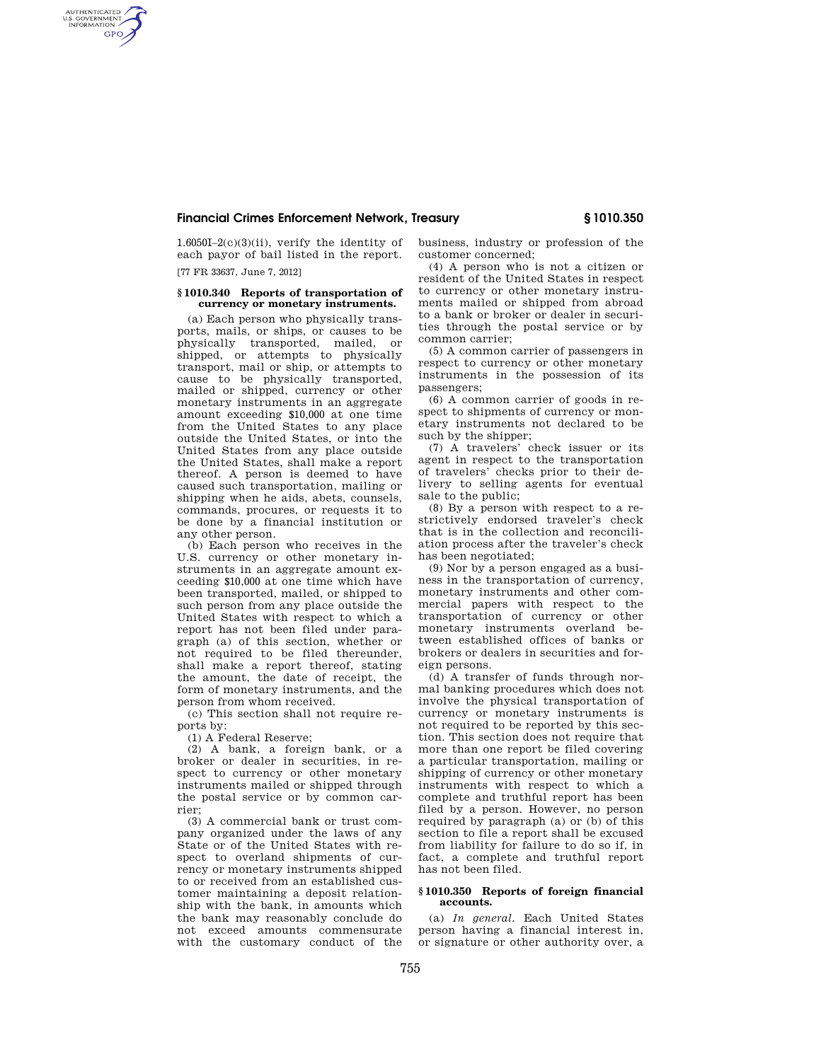# **Financial Crimes Enforcement Network, Treasury § 1010.350**

1.6050I–2(c)(3)(ii), verify the identity of each payor of bail listed in the report.

[77 FR 33637, June 7, 2012]

AUTHENTICATED<br>U.S. GOVERNMENT<br>INFORMATION **GPO** 

## **§ 1010.340 Reports of transportation of currency or monetary instruments.**

(a) Each person who physically transports, mails, or ships, or causes to be physically transported, mailed, or shipped, or attempts to physically transport, mail or ship, or attempts to cause to be physically transported, mailed or shipped, currency or other monetary instruments in an aggregate amount exceeding \$10,000 at one time from the United States to any place outside the United States, or into the United States from any place outside the United States, shall make a report thereof. A person is deemed to have caused such transportation, mailing or shipping when he aids, abets, counsels, commands, procures, or requests it to be done by a financial institution or any other person.

(b) Each person who receives in the U.S. currency or other monetary instruments in an aggregate amount exceeding \$10,000 at one time which have been transported, mailed, or shipped to such person from any place outside the United States with respect to which a report has not been filed under paragraph (a) of this section, whether or not required to be filed thereunder, shall make a report thereof, stating the amount, the date of receipt, the form of monetary instruments, and the person from whom received.

(c) This section shall not require reports by:

(1) A Federal Reserve;

(2) A bank, a foreign bank, or a broker or dealer in securities, in respect to currency or other monetary instruments mailed or shipped through the postal service or by common carrier;

(3) A commercial bank or trust company organized under the laws of any State or of the United States with respect to overland shipments of currency or monetary instruments shipped to or received from an established customer maintaining a deposit relationship with the bank, in amounts which the bank may reasonably conclude do not exceed amounts commensurate with the customary conduct of the business, industry or profession of the customer concerned;

(4) A person who is not a citizen or resident of the United States in respect to currency or other monetary instruments mailed or shipped from abroad to a bank or broker or dealer in securities through the postal service or by common carrier;

(5) A common carrier of passengers in respect to currency or other monetary instruments in the possession of its passengers;

(6) A common carrier of goods in respect to shipments of currency or monetary instruments not declared to be such by the shipper;

(7) A travelers' check issuer or its agent in respect to the transportation of travelers' checks prior to their delivery to selling agents for eventual sale to the public;

(8) By a person with respect to a restrictively endorsed traveler's check that is in the collection and reconciliation process after the traveler's check has been negotiated;

(9) Nor by a person engaged as a business in the transportation of currency, monetary instruments and other commercial papers with respect to the transportation of currency or other monetary instruments overland between established offices of banks or brokers or dealers in securities and foreign persons.

(d) A transfer of funds through normal banking procedures which does not involve the physical transportation of currency or monetary instruments is not required to be reported by this section. This section does not require that more than one report be filed covering a particular transportation, mailing or shipping of currency or other monetary instruments with respect to which a complete and truthful report has been filed by a person. However, no person required by paragraph (a) or (b) of this section to file a report shall be excused from liability for failure to do so if, in fact, a complete and truthful report has not been filed.

#### **§ 1010.350 Reports of foreign financial accounts.**

(a) *In general.* Each United States person having a financial interest in, or signature or other authority over, a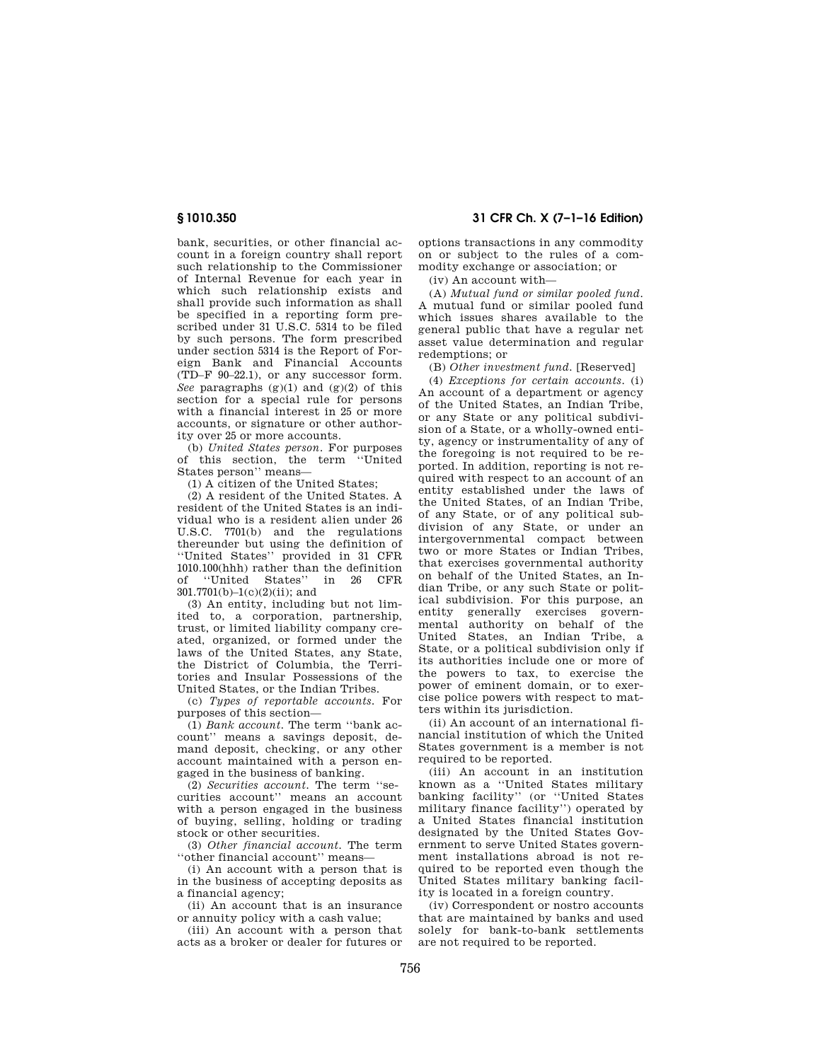bank, securities, or other financial account in a foreign country shall report such relationship to the Commissioner of Internal Revenue for each year in which such relationship exists and shall provide such information as shall be specified in a reporting form prescribed under 31 U.S.C. 5314 to be filed by such persons. The form prescribed under section 5314 is the Report of Foreign Bank and Financial Accounts (TD–F 90–22.1), or any successor form. *See* paragraphs (g)(1) and (g)(2) of this section for a special rule for persons with a financial interest in 25 or more accounts, or signature or other authority over 25 or more accounts.

(b) *United States person.* For purposes of this section, the term ''United States person'' means—

(1) A citizen of the United States;

(2) A resident of the United States. A resident of the United States is an individual who is a resident alien under 26 U.S.C. 7701(b) and the regulations thereunder but using the definition of ''United States'' provided in 31 CFR 1010.100(hhh) rather than the definition<br>of "United States" in 26 CFB ''United States'' 301.7701(b)–1(c)(2)(ii); and

(3) An entity, including but not limited to, a corporation, partnership, trust, or limited liability company created, organized, or formed under the laws of the United States, any State, the District of Columbia, the Territories and Insular Possessions of the United States, or the Indian Tribes.

(c) *Types of reportable accounts.* For purposes of this section—

(1) *Bank account.* The term ''bank account'' means a savings deposit, demand deposit, checking, or any other account maintained with a person engaged in the business of banking.

(2) *Securities account.* The term ''securities account'' means an account with a person engaged in the business of buying, selling, holding or trading stock or other securities.

(3) *Other financial account.* The term ''other financial account'' means—

(i) An account with a person that is in the business of accepting deposits as a financial agency;

(ii) An account that is an insurance or annuity policy with a cash value;

(iii) An account with a person that acts as a broker or dealer for futures or

**§ 1010.350 31 CFR Ch. X (7–1–16 Edition)** 

options transactions in any commodity on or subject to the rules of a commodity exchange or association; or

(iv) An account with—

(A) *Mutual fund or similar pooled fund.*  A mutual fund or similar pooled fund which issues shares available to the general public that have a regular net asset value determination and regular redemptions; or

(B) *Other investment fund.* [Reserved]

(4) *Exceptions for certain accounts.* (i) An account of a department or agency of the United States, an Indian Tribe, or any State or any political subdivision of a State, or a wholly-owned entity, agency or instrumentality of any of the foregoing is not required to be reported. In addition, reporting is not required with respect to an account of an entity established under the laws of the United States, of an Indian Tribe, of any State, or of any political subdivision of any State, or under an intergovernmental compact between two or more States or Indian Tribes, that exercises governmental authority on behalf of the United States, an Indian Tribe, or any such State or political subdivision. For this purpose, an entity generally exercises governmental authority on behalf of the United States, an Indian Tribe, a State, or a political subdivision only if its authorities include one or more of the powers to tax, to exercise the power of eminent domain, or to exercise police powers with respect to matters within its jurisdiction.

(ii) An account of an international financial institution of which the United States government is a member is not required to be reported.

(iii) An account in an institution known as a ''United States military banking facility'' (or ''United States military finance facility'') operated by a United States financial institution designated by the United States Government to serve United States government installations abroad is not required to be reported even though the United States military banking facility is located in a foreign country.

(iv) Correspondent or nostro accounts that are maintained by banks and used solely for bank-to-bank settlements are not required to be reported.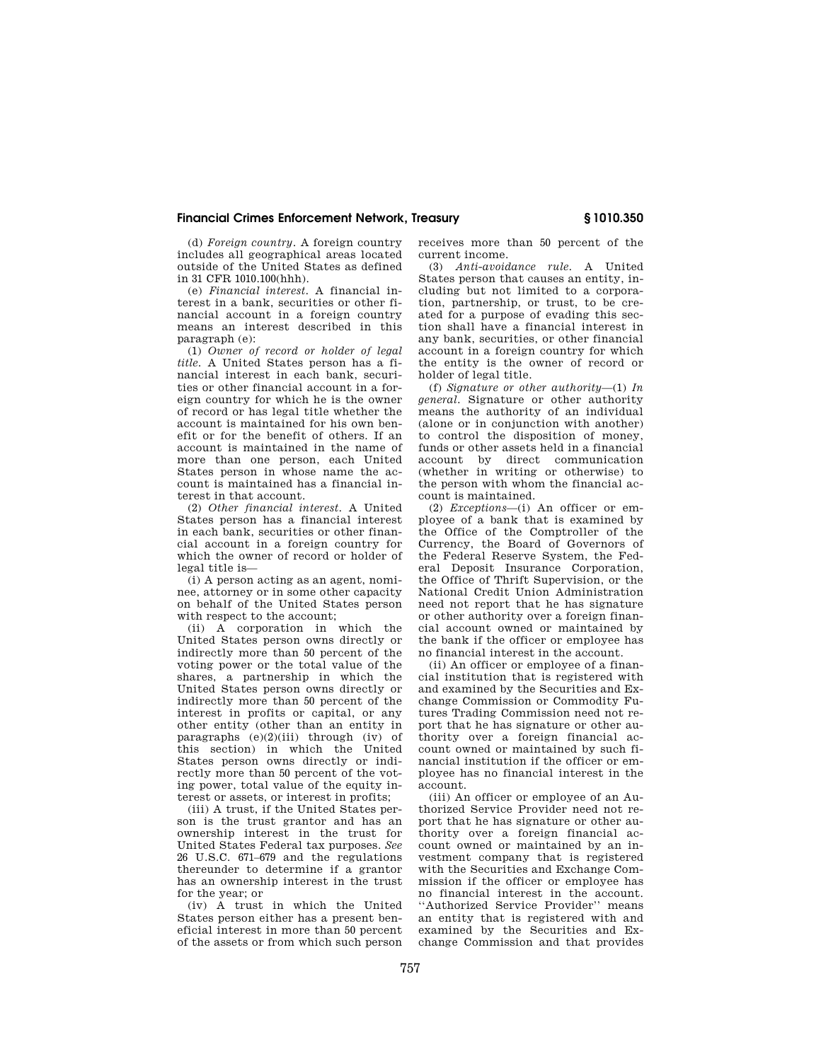## **Financial Crimes Enforcement Network, Treasury § 1010.350**

(d) *Foreign country.* A foreign country includes all geographical areas located outside of the United States as defined in 31 CFR 1010.100(hhh).

(e) *Financial interest.* A financial interest in a bank, securities or other financial account in a foreign country means an interest described in this paragraph (e):

(1) *Owner of record or holder of legal title.* A United States person has a financial interest in each bank, securities or other financial account in a foreign country for which he is the owner of record or has legal title whether the account is maintained for his own benefit or for the benefit of others. If an account is maintained in the name of more than one person, each United States person in whose name the account is maintained has a financial interest in that account.

(2) *Other financial interest.* A United States person has a financial interest in each bank, securities or other financial account in a foreign country for which the owner of record or holder of legal title is—

(i) A person acting as an agent, nominee, attorney or in some other capacity on behalf of the United States person with respect to the account:

(ii) A corporation in which the United States person owns directly or indirectly more than 50 percent of the voting power or the total value of the shares, a partnership in which the United States person owns directly or indirectly more than 50 percent of the interest in profits or capital, or any other entity (other than an entity in paragraphs  $(e)(2)(iii)$  through  $(iv)$  of this section) in which the United States person owns directly or indirectly more than 50 percent of the voting power, total value of the equity interest or assets, or interest in profits;

(iii) A trust, if the United States person is the trust grantor and has an ownership interest in the trust for United States Federal tax purposes. *See*  26 U.S.C. 671–679 and the regulations thereunder to determine if a grantor has an ownership interest in the trust for the year; or

(iv) A trust in which the United States person either has a present beneficial interest in more than 50 percent of the assets or from which such person receives more than 50 percent of the current income.

(3) *Anti-avoidance rule.* A United States person that causes an entity, including but not limited to a corporation, partnership, or trust, to be created for a purpose of evading this section shall have a financial interest in any bank, securities, or other financial account in a foreign country for which the entity is the owner of record or holder of legal title.

(f) *Signature or other authority*—(1) *In general.* Signature or other authority means the authority of an individual (alone or in conjunction with another) to control the disposition of money, funds or other assets held in a financial account by direct communication (whether in writing or otherwise) to the person with whom the financial account is maintained.

(2) *Exceptions*—(i) An officer or employee of a bank that is examined by the Office of the Comptroller of the Currency, the Board of Governors of the Federal Reserve System, the Federal Deposit Insurance Corporation, the Office of Thrift Supervision, or the National Credit Union Administration need not report that he has signature or other authority over a foreign financial account owned or maintained by the bank if the officer or employee has no financial interest in the account.

(ii) An officer or employee of a financial institution that is registered with and examined by the Securities and Exchange Commission or Commodity Futures Trading Commission need not report that he has signature or other authority over a foreign financial account owned or maintained by such financial institution if the officer or employee has no financial interest in the account.

(iii) An officer or employee of an Authorized Service Provider need not report that he has signature or other authority over a foreign financial account owned or maintained by an investment company that is registered with the Securities and Exchange Commission if the officer or employee has no financial interest in the account. ''Authorized Service Provider'' means an entity that is registered with and examined by the Securities and Exchange Commission and that provides